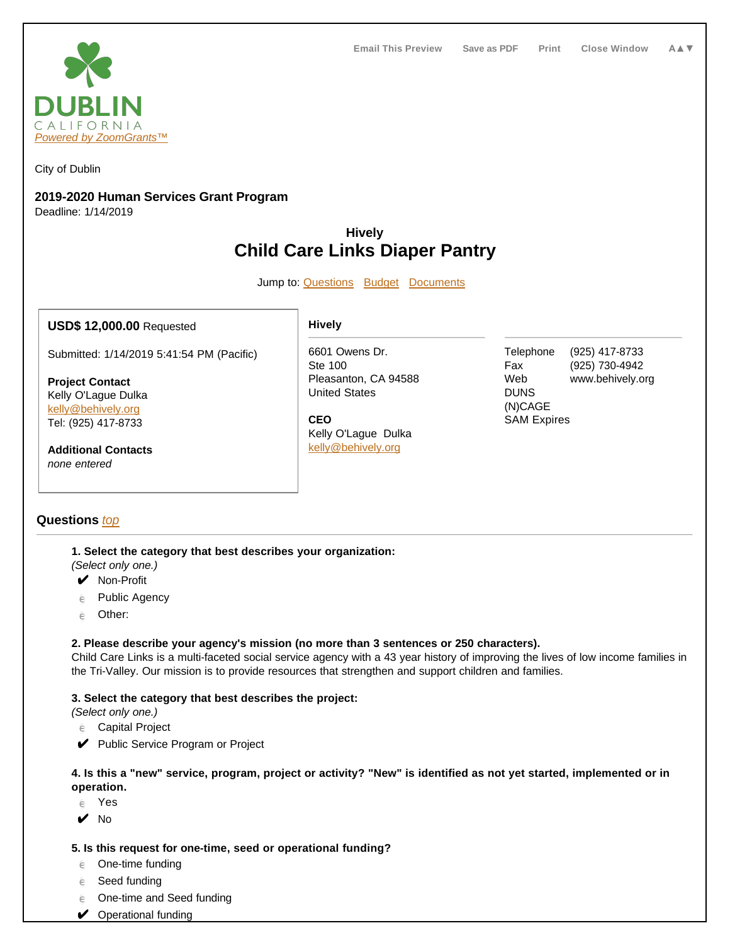

City of Dublin

# **2019-2020 Human Services Grant Program**

Deadline: 1/14/2019

# **Hively Child Care Links Diaper Pantry**

Jump to: **Questions** Budget Documents

# **USD\$ 12,000.00** Requested

Submitted: 1/14/2019 5:41:54 PM (Pacific)

**Project Contact** Kelly O'Lague Dulka kelly@behively.org Tel: (925) 417-8733

**Additional Contacts** none entered

# **Questions** top

**1. Select the category that best describes your organization:**

(Select only one.)

- ✔ Non-Profit
- $e$  Public Agency
- $e$  Other:

# **2. Please describe your agency's mission (no more than 3 sentences or 250 characters).**

Child Care Links is a multi-faceted social service agency with a 43 year history of improving the lives of low income families in the Tri-Valley. Our mission is to provide resources that strengthen and support children and families.

# **3. Select the category that best describes the project:**

(Select only one.)

 $e$  Capital Project

◆ Public Service Program or Project

#### **4. Is this a "new" service, program, project or activity? "New" is identified as not yet started, implemented or in operation.**

 $e$  Yes

 $\mathbf{v}$  No

# **5. Is this request for one-time, seed or operational funding?**

- $e$  One-time funding
- $e$  Seed funding
- $e$  One-time and Seed funding
- ◆ Operational funding

#### **Hively**

6601 Owens Dr. Ste 100 Pleasanton, CA 94588 United States

**CEO** Kelly O'Lague Dulka kelly@behively.org

Telephone (925) 417-8733 Fax (925) 730-4942 Web www.behively.org **DUNS** (N)CAGE SAM Expires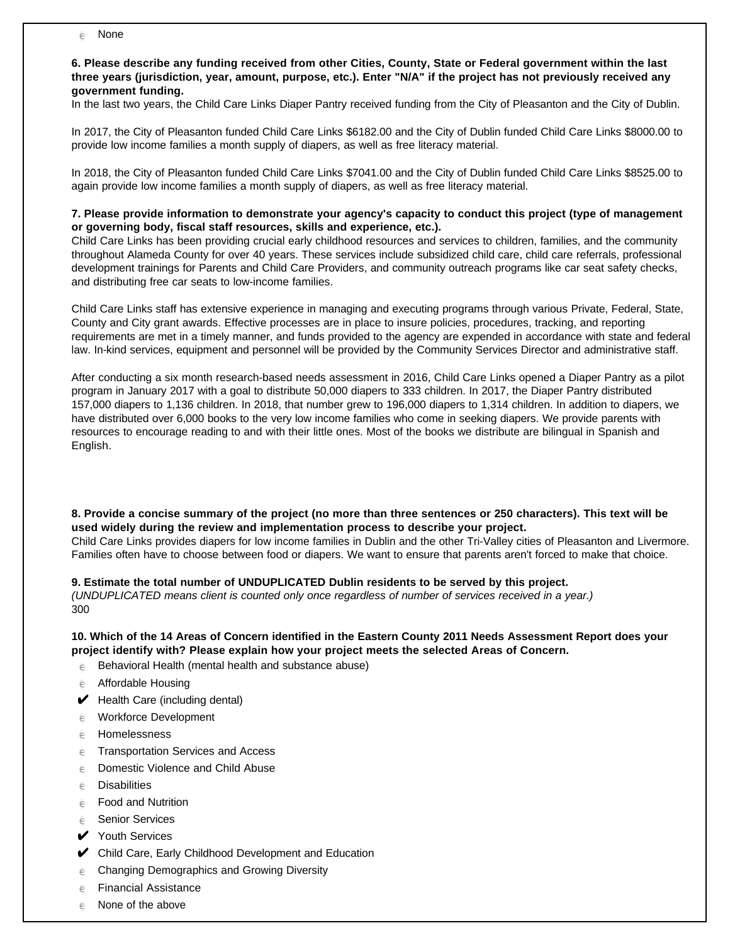$\epsilon$  None

**6. Please describe any funding received from other Cities, County, State or Federal government within the last three years (jurisdiction, year, amount, purpose, etc.). Enter "N/A" if the project has not previously received any government funding.**

In the last two years, the Child Care Links Diaper Pantry received funding from the City of Pleasanton and the City of Dublin.

In 2017, the City of Pleasanton funded Child Care Links \$6182.00 and the City of Dublin funded Child Care Links \$8000.00 to provide low income families a month supply of diapers, as well as free literacy material.

In 2018, the City of Pleasanton funded Child Care Links \$7041.00 and the City of Dublin funded Child Care Links \$8525.00 to again provide low income families a month supply of diapers, as well as free literacy material.

# **7. Please provide information to demonstrate your agency's capacity to conduct this project (type of management or governing body, fiscal staff resources, skills and experience, etc.).**

Child Care Links has been providing crucial early childhood resources and services to children, families, and the community throughout Alameda County for over 40 years. These services include subsidized child care, child care referrals, professional development trainings for Parents and Child Care Providers, and community outreach programs like car seat safety checks, and distributing free car seats to low-income families.

Child Care Links staff has extensive experience in managing and executing programs through various Private, Federal, State, County and City grant awards. Effective processes are in place to insure policies, procedures, tracking, and reporting requirements are met in a timely manner, and funds provided to the agency are expended in accordance with state and federal law. In-kind services, equipment and personnel will be provided by the Community Services Director and administrative staff.

After conducting a six month research-based needs assessment in 2016, Child Care Links opened a Diaper Pantry as a pilot program in January 2017 with a goal to distribute 50,000 diapers to 333 children. In 2017, the Diaper Pantry distributed 157,000 diapers to 1,136 children. In 2018, that number grew to 196,000 diapers to 1,314 children. In addition to diapers, we have distributed over 6,000 books to the very low income families who come in seeking diapers. We provide parents with resources to encourage reading to and with their little ones. Most of the books we distribute are bilingual in Spanish and English.

**8. Provide a concise summary of the project (no more than three sentences or 250 characters). This text will be used widely during the review and implementation process to describe your project.** Child Care Links provides diapers for low income families in Dublin and the other Tri-Valley cities of Pleasanton and Livermore. Families often have to choose between food or diapers. We want to ensure that parents aren't forced to make that choice.

**9. Estimate the total number of UNDUPLICATED Dublin residents to be served by this project.** 

(UNDUPLICATED means client is counted only once regardless of number of services received in a year.) 300

# **10. Which of the 14 Areas of Concern identified in the Eastern County 2011 Needs Assessment Report does your project identify with? Please explain how your project meets the selected Areas of Concern.**

 $e^{\frac{1}{2}}$  Behavioral Health (mental health and substance abuse)

- $e$  Affordable Housing
- $\blacktriangleright$  Health Care (including dental)
- $e$  Workforce Development
- e Homelessness
- $e$  Transportation Services and Access
- $e$  Domestic Violence and Child Abuse
- $e$  Disabilities
- $e$  Food and Nutrition
- e Senior Services
- **✔** Youth Services
- ✔ Child Care, Early Childhood Development and Education
- $e$  Changing Demographics and Growing Diversity
- $e$  Financial Assistance
- $e$  None of the above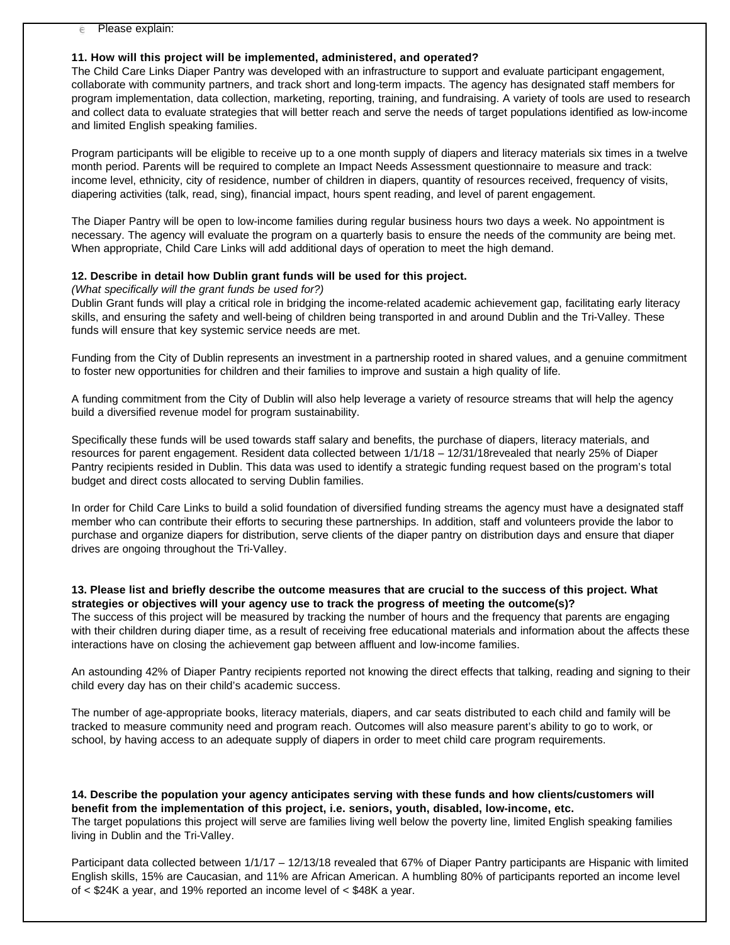### **11. How will this project will be implemented, administered, and operated?**

The Child Care Links Diaper Pantry was developed with an infrastructure to support and evaluate participant engagement, collaborate with community partners, and track short and long-term impacts. The agency has designated staff members for program implementation, data collection, marketing, reporting, training, and fundraising. A variety of tools are used to research and collect data to evaluate strategies that will better reach and serve the needs of target populations identified as low-income and limited English speaking families.

Program participants will be eligible to receive up to a one month supply of diapers and literacy materials six times in a twelve month period. Parents will be required to complete an Impact Needs Assessment questionnaire to measure and track: income level, ethnicity, city of residence, number of children in diapers, quantity of resources received, frequency of visits, diapering activities (talk, read, sing), financial impact, hours spent reading, and level of parent engagement.

The Diaper Pantry will be open to low-income families during regular business hours two days a week. No appointment is necessary. The agency will evaluate the program on a quarterly basis to ensure the needs of the community are being met. When appropriate, Child Care Links will add additional days of operation to meet the high demand.

#### **12. Describe in detail how Dublin grant funds will be used for this project.**

(What specifically will the grant funds be used for?)

Dublin Grant funds will play a critical role in bridging the income-related academic achievement gap, facilitating early literacy skills, and ensuring the safety and well-being of children being transported in and around Dublin and the Tri-Valley. These funds will ensure that key systemic service needs are met.

Funding from the City of Dublin represents an investment in a partnership rooted in shared values, and a genuine commitment to foster new opportunities for children and their families to improve and sustain a high quality of life.

A funding commitment from the City of Dublin will also help leverage a variety of resource streams that will help the agency build a diversified revenue model for program sustainability.

Specifically these funds will be used towards staff salary and benefits, the purchase of diapers, literacy materials, and resources for parent engagement. Resident data collected between 1/1/18 – 12/31/18revealed that nearly 25% of Diaper Pantry recipients resided in Dublin. This data was used to identify a strategic funding request based on the program's total budget and direct costs allocated to serving Dublin families.

In order for Child Care Links to build a solid foundation of diversified funding streams the agency must have a designated staff member who can contribute their efforts to securing these partnerships. In addition, staff and volunteers provide the labor to purchase and organize diapers for distribution, serve clients of the diaper pantry on distribution days and ensure that diaper drives are ongoing throughout the Tri-Valley.

## **13. Please list and briefly describe the outcome measures that are crucial to the success of this project. What strategies or objectives will your agency use to track the progress of meeting the outcome(s)?**

The success of this project will be measured by tracking the number of hours and the frequency that parents are engaging with their children during diaper time, as a result of receiving free educational materials and information about the affects these interactions have on closing the achievement gap between affluent and low-income families.

An astounding 42% of Diaper Pantry recipients reported not knowing the direct effects that talking, reading and signing to their child every day has on their child's academic success.

The number of age-appropriate books, literacy materials, diapers, and car seats distributed to each child and family will be tracked to measure community need and program reach. Outcomes will also measure parent's ability to go to work, or school, by having access to an adequate supply of diapers in order to meet child care program requirements.

**14. Describe the population your agency anticipates serving with these funds and how clients/customers will benefit from the implementation of this project, i.e. seniors, youth, disabled, low-income, etc.** The target populations this project will serve are families living well below the poverty line, limited English speaking families living in Dublin and the Tri-Valley.

Participant data collected between 1/1/17 – 12/13/18 revealed that 67% of Diaper Pantry participants are Hispanic with limited English skills, 15% are Caucasian, and 11% are African American. A humbling 80% of participants reported an income level of < \$24K a year, and 19% reported an income level of < \$48K a year.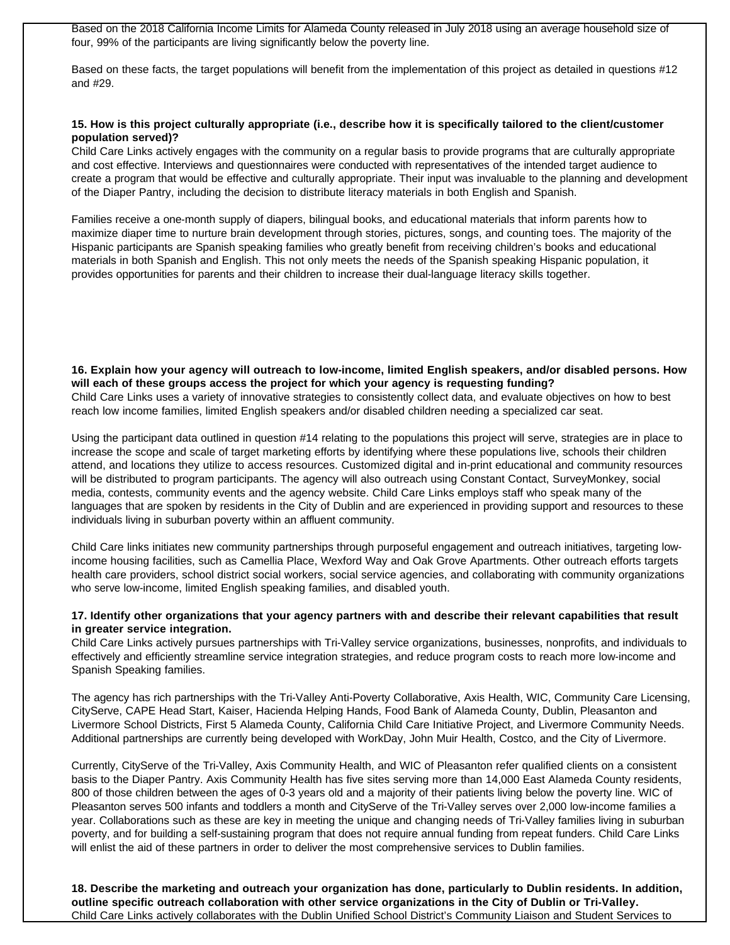Based on the 2018 California Income Limits for Alameda County released in July 2018 using an average household size of four, 99% of the participants are living significantly below the poverty line.

Based on these facts, the target populations will benefit from the implementation of this project as detailed in questions #12 and #29.

#### **15. How is this project culturally appropriate (i.e., describe how it is specifically tailored to the client/customer population served)?**

Child Care Links actively engages with the community on a regular basis to provide programs that are culturally appropriate and cost effective. Interviews and questionnaires were conducted with representatives of the intended target audience to create a program that would be effective and culturally appropriate. Their input was invaluable to the planning and development of the Diaper Pantry, including the decision to distribute literacy materials in both English and Spanish.

Families receive a one-month supply of diapers, bilingual books, and educational materials that inform parents how to maximize diaper time to nurture brain development through stories, pictures, songs, and counting toes. The majority of the Hispanic participants are Spanish speaking families who greatly benefit from receiving children's books and educational materials in both Spanish and English. This not only meets the needs of the Spanish speaking Hispanic population, it provides opportunities for parents and their children to increase their dual-language literacy skills together.

**16. Explain how your agency will outreach to low-income, limited English speakers, and/or disabled persons. How will each of these groups access the project for which your agency is requesting funding?**  Child Care Links uses a variety of innovative strategies to consistently collect data, and evaluate objectives on how to best reach low income families, limited English speakers and/or disabled children needing a specialized car seat.

Using the participant data outlined in question #14 relating to the populations this project will serve, strategies are in place to increase the scope and scale of target marketing efforts by identifying where these populations live, schools their children attend, and locations they utilize to access resources. Customized digital and in-print educational and community resources will be distributed to program participants. The agency will also outreach using Constant Contact, SurveyMonkey, social media, contests, community events and the agency website. Child Care Links employs staff who speak many of the languages that are spoken by residents in the City of Dublin and are experienced in providing support and resources to these individuals living in suburban poverty within an affluent community.

Child Care links initiates new community partnerships through purposeful engagement and outreach initiatives, targeting lowincome housing facilities, such as Camellia Place, Wexford Way and Oak Grove Apartments. Other outreach efforts targets health care providers, school district social workers, social service agencies, and collaborating with community organizations who serve low-income, limited English speaking families, and disabled youth.

#### **17. Identify other organizations that your agency partners with and describe their relevant capabilities that result in greater service integration.**

Child Care Links actively pursues partnerships with Tri-Valley service organizations, businesses, nonprofits, and individuals to effectively and efficiently streamline service integration strategies, and reduce program costs to reach more low-income and Spanish Speaking families.

The agency has rich partnerships with the Tri-Valley Anti-Poverty Collaborative, Axis Health, WIC, Community Care Licensing, CityServe, CAPE Head Start, Kaiser, Hacienda Helping Hands, Food Bank of Alameda County, Dublin, Pleasanton and Livermore School Districts, First 5 Alameda County, California Child Care Initiative Project, and Livermore Community Needs. Additional partnerships are currently being developed with WorkDay, John Muir Health, Costco, and the City of Livermore.

Currently, CityServe of the Tri-Valley, Axis Community Health, and WIC of Pleasanton refer qualified clients on a consistent basis to the Diaper Pantry. Axis Community Health has five sites serving more than 14,000 East Alameda County residents, 800 of those children between the ages of 0-3 years old and a majority of their patients living below the poverty line. WIC of Pleasanton serves 500 infants and toddlers a month and CityServe of the Tri-Valley serves over 2,000 low-income families a year. Collaborations such as these are key in meeting the unique and changing needs of Tri-Valley families living in suburban poverty, and for building a self-sustaining program that does not require annual funding from repeat funders. Child Care Links will enlist the aid of these partners in order to deliver the most comprehensive services to Dublin families.

**18. Describe the marketing and outreach your organization has done, particularly to Dublin residents. In addition, outline specific outreach collaboration with other service organizations in the City of Dublin or Tri-Valley.** Child Care Links actively collaborates with the Dublin Unified School District's Community Liaison and Student Services to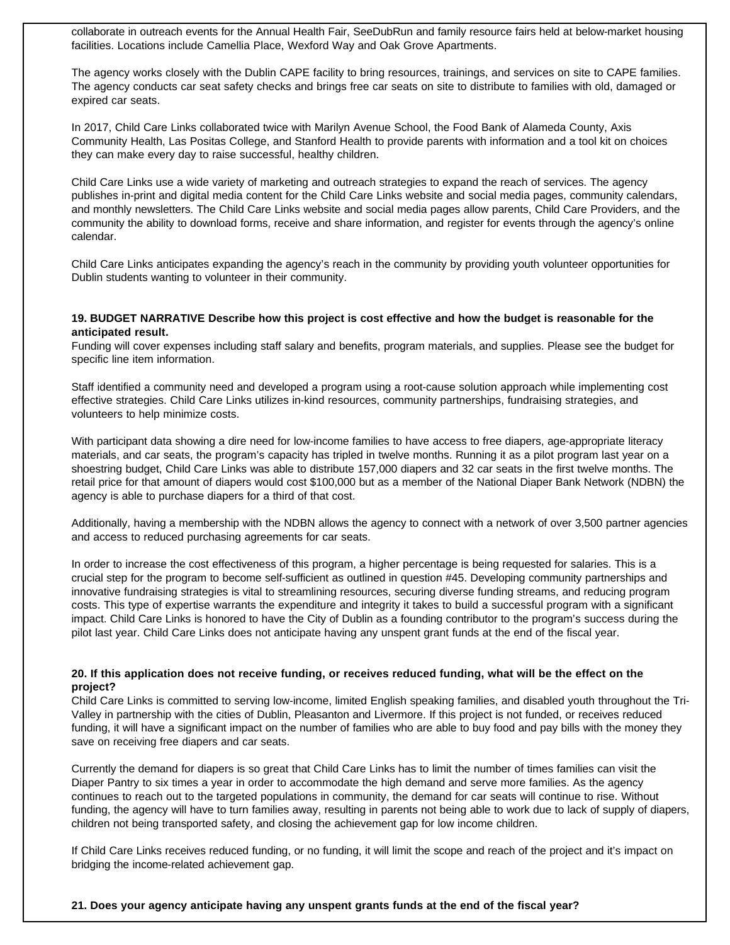collaborate in outreach events for the Annual Health Fair, SeeDubRun and family resource fairs held at below-market housing facilities. Locations include Camellia Place, Wexford Way and Oak Grove Apartments.

The agency works closely with the Dublin CAPE facility to bring resources, trainings, and services on site to CAPE families. The agency conducts car seat safety checks and brings free car seats on site to distribute to families with old, damaged or expired car seats.

In 2017, Child Care Links collaborated twice with Marilyn Avenue School, the Food Bank of Alameda County, Axis Community Health, Las Positas College, and Stanford Health to provide parents with information and a tool kit on choices they can make every day to raise successful, healthy children.

Child Care Links use a wide variety of marketing and outreach strategies to expand the reach of services. The agency publishes in-print and digital media content for the Child Care Links website and social media pages, community calendars, and monthly newsletters. The Child Care Links website and social media pages allow parents, Child Care Providers, and the community the ability to download forms, receive and share information, and register for events through the agency's online calendar.

Child Care Links anticipates expanding the agency's reach in the community by providing youth volunteer opportunities for Dublin students wanting to volunteer in their community.

#### **19. BUDGET NARRATIVE Describe how this project is cost effective and how the budget is reasonable for the anticipated result.**

Funding will cover expenses including staff salary and benefits, program materials, and supplies. Please see the budget for specific line item information.

Staff identified a community need and developed a program using a root-cause solution approach while implementing cost effective strategies. Child Care Links utilizes in-kind resources, community partnerships, fundraising strategies, and volunteers to help minimize costs.

With participant data showing a dire need for low-income families to have access to free diapers, age-appropriate literacy materials, and car seats, the program's capacity has tripled in twelve months. Running it as a pilot program last year on a shoestring budget, Child Care Links was able to distribute 157,000 diapers and 32 car seats in the first twelve months. The retail price for that amount of diapers would cost \$100,000 but as a member of the National Diaper Bank Network (NDBN) the agency is able to purchase diapers for a third of that cost.

Additionally, having a membership with the NDBN allows the agency to connect with a network of over 3,500 partner agencies and access to reduced purchasing agreements for car seats.

In order to increase the cost effectiveness of this program, a higher percentage is being requested for salaries. This is a crucial step for the program to become self-sufficient as outlined in question #45. Developing community partnerships and innovative fundraising strategies is vital to streamlining resources, securing diverse funding streams, and reducing program costs. This type of expertise warrants the expenditure and integrity it takes to build a successful program with a significant impact. Child Care Links is honored to have the City of Dublin as a founding contributor to the program's success during the pilot last year. Child Care Links does not anticipate having any unspent grant funds at the end of the fiscal year.

#### **20. If this application does not receive funding, or receives reduced funding, what will be the effect on the project?**

Child Care Links is committed to serving low-income, limited English speaking families, and disabled youth throughout the Tri-Valley in partnership with the cities of Dublin, Pleasanton and Livermore. If this project is not funded, or receives reduced funding, it will have a significant impact on the number of families who are able to buy food and pay bills with the money they save on receiving free diapers and car seats.

Currently the demand for diapers is so great that Child Care Links has to limit the number of times families can visit the Diaper Pantry to six times a year in order to accommodate the high demand and serve more families. As the agency continues to reach out to the targeted populations in community, the demand for car seats will continue to rise. Without funding, the agency will have to turn families away, resulting in parents not being able to work due to lack of supply of diapers, children not being transported safety, and closing the achievement gap for low income children.

If Child Care Links receives reduced funding, or no funding, it will limit the scope and reach of the project and it's impact on bridging the income-related achievement gap.

# **21. Does your agency anticipate having any unspent grants funds at the end of the fiscal year?**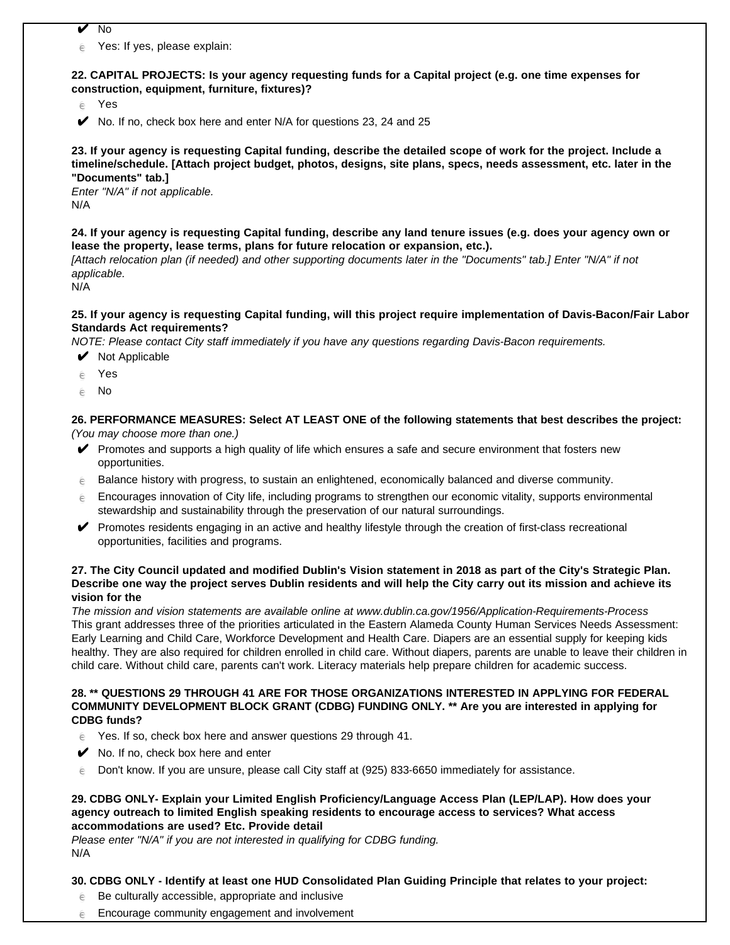- $\sqrt{N}$
- $e$  Yes: If yes, please explain:

**22. CAPITAL PROJECTS: Is your agency requesting funds for a Capital project (e.g. one time expenses for construction, equipment, furniture, fixtures)?**

 $e$  Yes

 $\blacktriangleright$  No. If no, check box here and enter N/A for questions 23, 24 and 25

**23. If your agency is requesting Capital funding, describe the detailed scope of work for the project. Include a timeline/schedule. [Attach project budget, photos, designs, site plans, specs, needs assessment, etc. later in the "Documents" tab.]** 

Enter "N/A" if not applicable. N/A

**24. If your agency is requesting Capital funding, describe any land tenure issues (e.g. does your agency own or lease the property, lease terms, plans for future relocation or expansion, etc.).** 

[Attach relocation plan (if needed) and other supporting documents later in the "Documents" tab.] Enter "N/A" if not applicable.

N/A

#### **25. If your agency is requesting Capital funding, will this project require implementation of Davis-Bacon/Fair Labor Standards Act requirements?**

NOTE: Please contact City staff immediately if you have any questions regarding Davis-Bacon requirements.

- $\vee$  Not Applicable
- e Yes
- $\epsilon$  No

**26. PERFORMANCE MEASURES: Select AT LEAST ONE of the following statements that best describes the project:** (You may choose more than one.)

- ✔ Promotes and supports a high quality of life which ensures a safe and secure environment that fosters new opportunities.
- $\epsilon$  Balance history with progress, to sustain an enlightened, economically balanced and diverse community.
- $\epsilon$  Encourages innovation of City life, including programs to strengthen our economic vitality, supports environmental stewardship and sustainability through the preservation of our natural surroundings.
- ✔ Promotes residents engaging in an active and healthy lifestyle through the creation of first-class recreational opportunities, facilities and programs.

## **27. The City Council updated and modified Dublin's Vision statement in 2018 as part of the City's Strategic Plan. Describe one way the project serves Dublin residents and will help the City carry out its mission and achieve its vision for the**

The mission and vision statements are available online at www.dublin.ca.gov/1956/Application-Requirements-Process This grant addresses three of the priorities articulated in the Eastern Alameda County Human Services Needs Assessment: Early Learning and Child Care, Workforce Development and Health Care. Diapers are an essential supply for keeping kids healthy. They are also required for children enrolled in child care. Without diapers, parents are unable to leave their children in child care. Without child care, parents can't work. Literacy materials help prepare children for academic success.

#### **28. \*\* QUESTIONS 29 THROUGH 41 ARE FOR THOSE ORGANIZATIONS INTERESTED IN APPLYING FOR FEDERAL COMMUNITY DEVELOPMENT BLOCK GRANT (CDBG) FUNDING ONLY. \*\* Are you are interested in applying for CDBG funds?**

- $\epsilon$  Yes. If so, check box here and answer questions 29 through 41.
- $\mathcal V$  No. If no, check box here and enter
- $\epsilon$  Don't know. If you are unsure, please call City staff at (925) 833-6650 immediately for assistance.

#### **29. CDBG ONLY- Explain your Limited English Proficiency/Language Access Plan (LEP/LAP). How does your agency outreach to limited English speaking residents to encourage access to services? What access accommodations are used? Etc. Provide detail**

Please enter "N/A" if you are not interested in qualifying for CDBG funding. N/A

# **30. CDBG ONLY - Identify at least one HUD Consolidated Plan Guiding Principle that relates to your project:**

- $\epsilon$  Be culturally accessible, appropriate and inclusive
- $e$  Encourage community engagement and involvement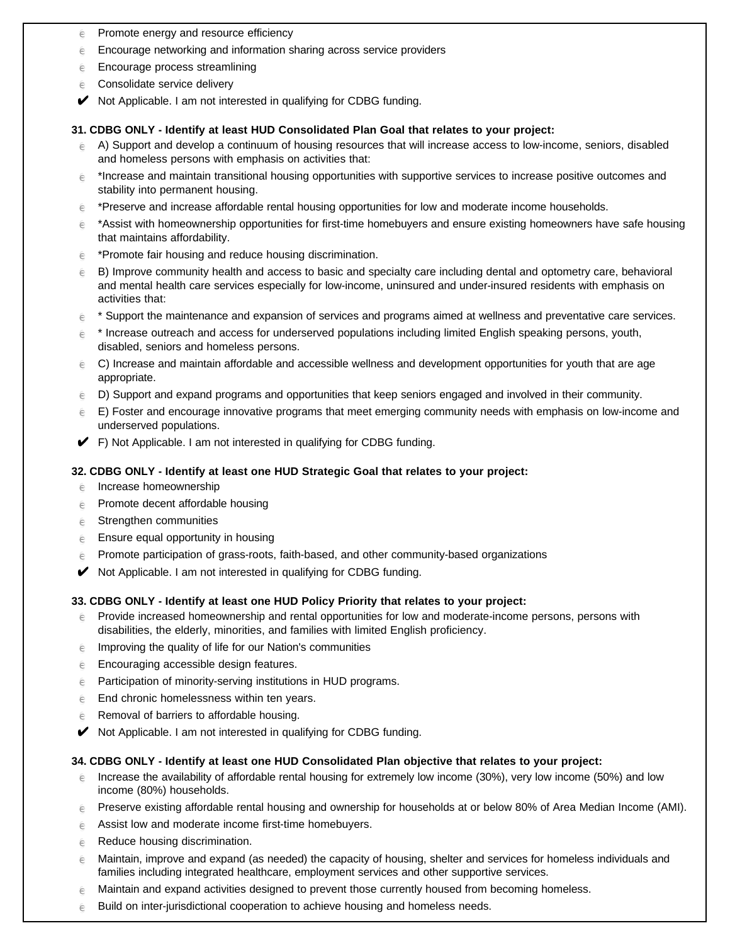- $e$  Promote energy and resource efficiency
- $\epsilon$  Encourage networking and information sharing across service providers
- $e$  Encourage process streamlining
- $e$  Consolidate service delivery
- Not Applicable. I am not interested in qualifying for CDBG funding.

#### **31. CDBG ONLY - Identify at least HUD Consolidated Plan Goal that relates to your project:**

- $\epsilon$  A) Support and develop a continuum of housing resources that will increase access to low-income, seniors, disabled and homeless persons with emphasis on activities that:
- $\epsilon$  \*Increase and maintain transitional housing opportunities with supportive services to increase positive outcomes and stability into permanent housing.
- $e^*$  \*Preserve and increase affordable rental housing opportunities for low and moderate income households.
- $\epsilon$  \*Assist with homeownership opportunities for first-time homebuyers and ensure existing homeowners have safe housing that maintains affordability.
- $e^*$  \*Promote fair housing and reduce housing discrimination.
- $\epsilon$  B) Improve community health and access to basic and specialty care including dental and optometry care, behavioral and mental health care services especially for low-income, uninsured and under-insured residents with emphasis on activities that:
- $\epsilon$  \* Support the maintenance and expansion of services and programs aimed at wellness and preventative care services.
- $\epsilon$  \* Increase outreach and access for underserved populations including limited English speaking persons, youth, disabled, seniors and homeless persons.
- $\epsilon$  C) Increase and maintain affordable and accessible wellness and development opportunities for youth that are age appropriate.
- $\epsilon$  D) Support and expand programs and opportunities that keep seniors engaged and involved in their community.
- $\epsilon$  E) Foster and encourage innovative programs that meet emerging community needs with emphasis on low-income and underserved populations.
- $\blacktriangleright$  F) Not Applicable. I am not interested in qualifying for CDBG funding.

## **32. CDBG ONLY - Identify at least one HUD Strategic Goal that relates to your project:**

- $e$  Increase homeownership
- $e$  Promote decent affordable housing
- $e$  Strengthen communities
- $e$  Ensure equal opportunity in housing
- $\epsilon$  Promote participation of grass-roots, faith-based, and other community-based organizations
- ✔ Not Applicable. I am not interested in qualifying for CDBG funding.

# **33. CDBG ONLY - Identify at least one HUD Policy Priority that relates to your project:**

- $\epsilon$  Provide increased homeownership and rental opportunities for low and moderate-income persons, persons with disabilities, the elderly, minorities, and families with limited English proficiency.
- $e$  Improving the quality of life for our Nation's communities
- $e$  Encouraging accessible design features.
- $e$  Participation of minority-serving institutions in HUD programs.
- $\epsilon$  End chronic homelessness within ten years.
- $e$  Removal of barriers to affordable housing.
- ✔ Not Applicable. I am not interested in qualifying for CDBG funding.

# **34. CDBG ONLY - Identify at least one HUD Consolidated Plan objective that relates to your project:**

- $\epsilon$  Increase the availability of affordable rental housing for extremely low income (30%), very low income (50%) and low income (80%) households.
- $\epsilon$  Preserve existing affordable rental housing and ownership for households at or below 80% of Area Median Income (AMI).
- $e$  Assist low and moderate income first-time homebuyers.
- $e$  Reduce housing discrimination.
- $\epsilon$  Maintain, improve and expand (as needed) the capacity of housing, shelter and services for homeless individuals and families including integrated healthcare, employment services and other supportive services.
- Maintain and expand activities designed to prevent those currently housed from becoming homeless.
- $e$  Build on inter-jurisdictional cooperation to achieve housing and homeless needs.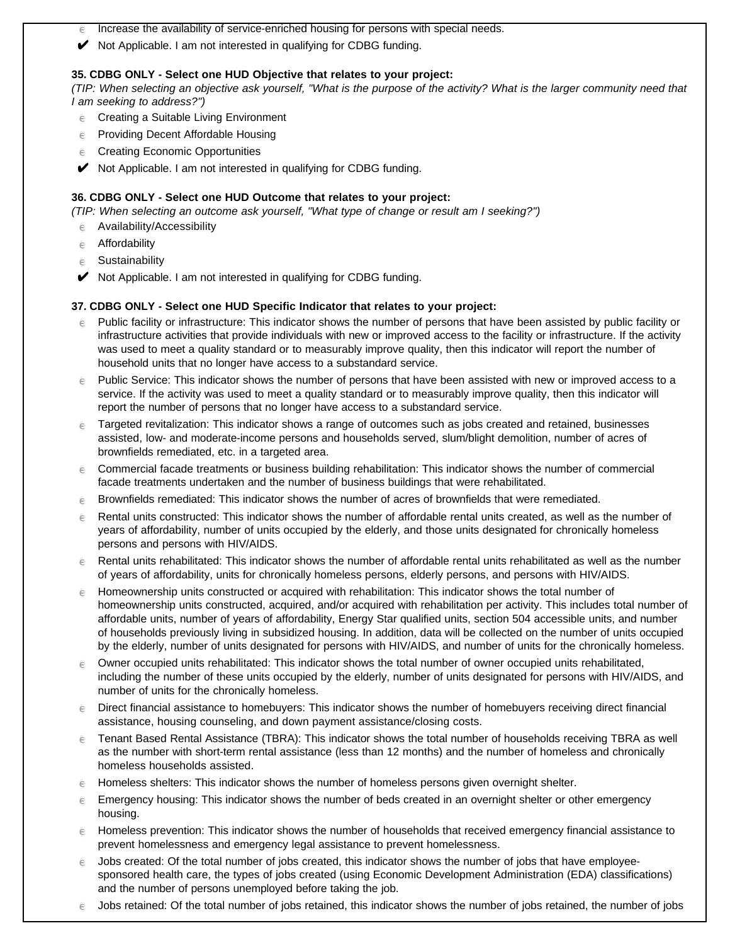- $\epsilon$  Increase the availability of service-enriched housing for persons with special needs.
- ◆ Not Applicable. I am not interested in qualifying for CDBG funding.

#### **35. CDBG ONLY - Select one HUD Objective that relates to your project:**

(TIP: When selecting an objective ask yourself, "What is the purpose of the activity? What is the larger community need that I am seeking to address?")

- $e$  Creating a Suitable Living Environment
- $e$  Providing Decent Affordable Housing
- $e$  Creating Economic Opportunities
- ◆ Not Applicable. I am not interested in qualifying for CDBG funding.

## **36. CDBG ONLY - Select one HUD Outcome that relates to your project:**

(TIP: When selecting an outcome ask yourself, "What type of change or result am I seeking?")

- $e$  Availability/Accessibility
- $e$  Affordability
- $e$  Sustainability
- $\blacktriangleright$  Not Applicable. I am not interested in qualifying for CDBG funding.

#### **37. CDBG ONLY - Select one HUD Specific Indicator that relates to your project:**

- $\epsilon$  Public facility or infrastructure: This indicator shows the number of persons that have been assisted by public facility or infrastructure activities that provide individuals with new or improved access to the facility or infrastructure. If the activity was used to meet a quality standard or to measurably improve quality, then this indicator will report the number of household units that no longer have access to a substandard service.
- $\epsilon$  Public Service: This indicator shows the number of persons that have been assisted with new or improved access to a service. If the activity was used to meet a quality standard or to measurably improve quality, then this indicator will report the number of persons that no longer have access to a substandard service.
- $\epsilon$  Targeted revitalization: This indicator shows a range of outcomes such as jobs created and retained, businesses assisted, low- and moderate-income persons and households served, slum/blight demolition, number of acres of brownfields remediated, etc. in a targeted area.
- $\epsilon$  Commercial facade treatments or business building rehabilitation: This indicator shows the number of commercial facade treatments undertaken and the number of business buildings that were rehabilitated.
- $\epsilon$  Brownfields remediated: This indicator shows the number of acres of brownfields that were remediated.
- $\epsilon$  Rental units constructed: This indicator shows the number of affordable rental units created, as well as the number of years of affordability, number of units occupied by the elderly, and those units designated for chronically homeless persons and persons with HIV/AIDS.
- $\epsilon$  Rental units rehabilitated: This indicator shows the number of affordable rental units rehabilitated as well as the number of years of affordability, units for chronically homeless persons, elderly persons, and persons with HIV/AIDS.
- $\epsilon$  Homeownership units constructed or acquired with rehabilitation: This indicator shows the total number of homeownership units constructed, acquired, and/or acquired with rehabilitation per activity. This includes total number of affordable units, number of years of affordability, Energy Star qualified units, section 504 accessible units, and number of households previously living in subsidized housing. In addition, data will be collected on the number of units occupied by the elderly, number of units designated for persons with HIV/AIDS, and number of units for the chronically homeless.
- $\epsilon$  Owner occupied units rehabilitated: This indicator shows the total number of owner occupied units rehabilitated, including the number of these units occupied by the elderly, number of units designated for persons with HIV/AIDS, and number of units for the chronically homeless.
- $\epsilon$  Direct financial assistance to homebuyers: This indicator shows the number of homebuyers receiving direct financial assistance, housing counseling, and down payment assistance/closing costs.
- $\epsilon$  Tenant Based Rental Assistance (TBRA): This indicator shows the total number of households receiving TBRA as well as the number with short-term rental assistance (less than 12 months) and the number of homeless and chronically homeless households assisted.
- $\epsilon$  Homeless shelters: This indicator shows the number of homeless persons given overnight shelter.
- $\epsilon$  Emergency housing: This indicator shows the number of beds created in an overnight shelter or other emergency housing.
- $\epsilon$  Homeless prevention: This indicator shows the number of households that received emergency financial assistance to prevent homelessness and emergency legal assistance to prevent homelessness.
- $\epsilon$  Jobs created: Of the total number of jobs created, this indicator shows the number of jobs that have employeesponsored health care, the types of jobs created (using Economic Development Administration (EDA) classifications) and the number of persons unemployed before taking the job.
- $\epsilon$  Jobs retained: Of the total number of jobs retained, this indicator shows the number of jobs retained, the number of jobs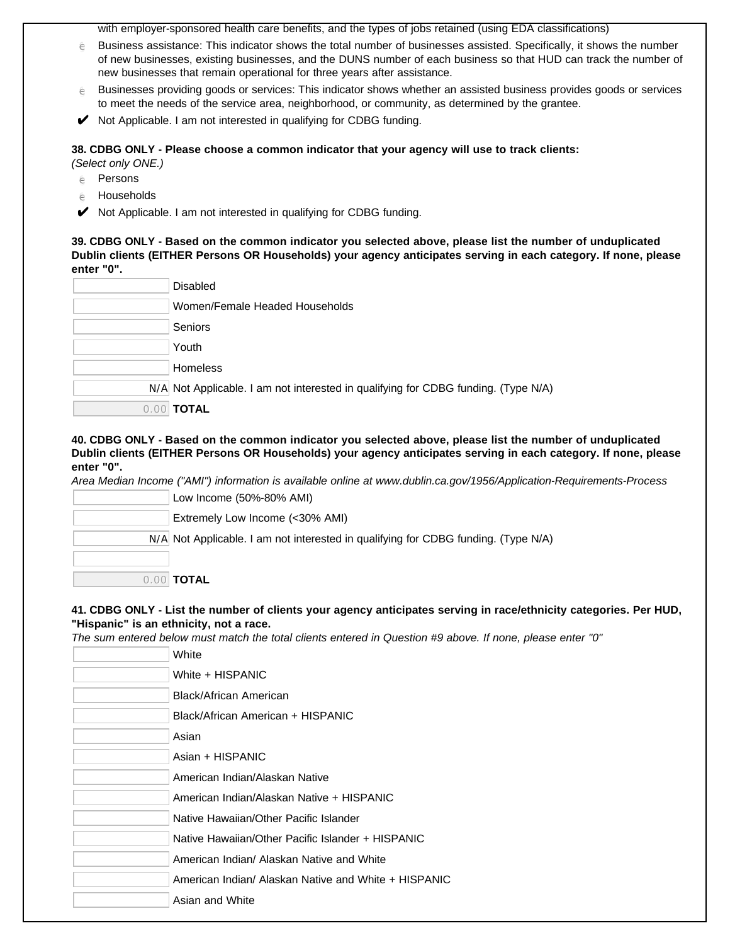with employer-sponsored health care benefits, and the types of jobs retained (using EDA classifications)

- $\epsilon$  Business assistance: This indicator shows the total number of businesses assisted. Specifically, it shows the number of new businesses, existing businesses, and the DUNS number of each business so that HUD can track the number of new businesses that remain operational for three years after assistance.
- $\epsilon$  Businesses providing goods or services: This indicator shows whether an assisted business provides goods or services to meet the needs of the service area, neighborhood, or community, as determined by the grantee.
- $\blacktriangleright$  Not Applicable. I am not interested in qualifying for CDBG funding.

**38. CDBG ONLY - Please choose a common indicator that your agency will use to track clients:** 

(Select only ONE.)

- $e$  Persons
- $e$  Households
- $\blacktriangleright$  Not Applicable. I am not interested in qualifying for CDBG funding.

**39. CDBG ONLY - Based on the common indicator you selected above, please list the number of unduplicated Dublin clients (EITHER Persons OR Households) your agency anticipates serving in each category. If none, please enter "0".**

| <b>Disabled</b>                                                                    |
|------------------------------------------------------------------------------------|
| Women/Female Headed Households                                                     |
| Seniors                                                                            |
| Youth                                                                              |
| <b>Homeless</b>                                                                    |
| N/A Not Applicable. I am not interested in qualifying for CDBG funding. (Type N/A) |
| 0.00 <b>TOTAL</b>                                                                  |

### **40. CDBG ONLY - Based on the common indicator you selected above, please list the number of unduplicated Dublin clients (EITHER Persons OR Households) your agency anticipates serving in each category. If none, please enter "0".**

Area Median Income ("AMI") information is available online at www.dublin.ca.gov/1956/Application-Requirements-Process

| Low Income (50%-80% AMI)                                                           |
|------------------------------------------------------------------------------------|
| Extremely Low Income (<30% AMI)                                                    |
| N/A Not Applicable. I am not interested in qualifying for CDBG funding. (Type N/A) |
|                                                                                    |
| $\blacksquare$ TOTAL $\blacksquare$                                                |

# **41. CDBG ONLY - List the number of clients your agency anticipates serving in race/ethnicity categories. Per HUD, "Hispanic" is an ethnicity, not a race.**

The sum entered below must match the total clients entered in Question #9 above. If none, please enter "0"

| White                                                |
|------------------------------------------------------|
| White + HISPANIC                                     |
| Black/African American                               |
| Black/African American + HISPANIC                    |
| Asian                                                |
| Asian + HISPANIC                                     |
| American Indian/Alaskan Native                       |
| American Indian/Alaskan Native + HISPANIC            |
| Native Hawaiian/Other Pacific Islander               |
| Native Hawaiian/Other Pacific Islander + HISPANIC    |
| American Indian/ Alaskan Native and White            |
| American Indian/ Alaskan Native and White + HISPANIC |
| Asian and White                                      |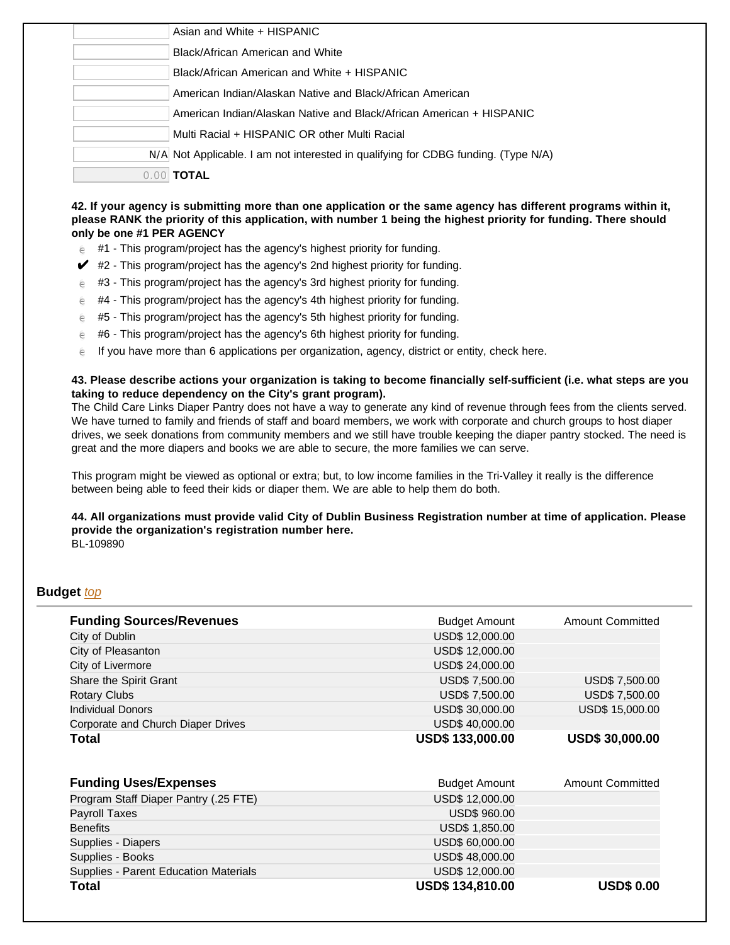|      | Asian and White + HISPANIC                                                         |
|------|------------------------------------------------------------------------------------|
|      | Black/African American and White                                                   |
|      | Black/African American and White + HISPANIC                                        |
|      | American Indian/Alaskan Native and Black/African American                          |
|      | American Indian/Alaskan Native and Black/African American + HISPANIC               |
|      | Multi Racial + HISPANIC OR other Multi Racial                                      |
|      | N/A Not Applicable. I am not interested in qualifying for CDBG funding. (Type N/A) |
| 0.00 | <b>TOTAL</b>                                                                       |
|      |                                                                                    |

# **42. If your agency is submitting more than one application or the same agency has different programs within it, please RANK the priority of this application, with number 1 being the highest priority for funding. There should only be one #1 PER AGENCY**

- $e$  #1 This program/project has the agency's highest priority for funding.
- $\blacktriangleright$  #2 This program/project has the agency's 2nd highest priority for funding.
- $e$  #3 This program/project has the agency's 3rd highest priority for funding.
- $\epsilon$  #4 This program/project has the agency's 4th highest priority for funding.
- $\epsilon$  #5 This program/project has the agency's 5th highest priority for funding.
- $\epsilon$  #6 This program/project has the agency's 6th highest priority for funding.
- $\epsilon$  If you have more than 6 applications per organization, agency, district or entity, check here.

# **43. Please describe actions your organization is taking to become financially self-sufficient (i.e. what steps are you taking to reduce dependency on the City's grant program).**

The Child Care Links Diaper Pantry does not have a way to generate any kind of revenue through fees from the clients served. We have turned to family and friends of staff and board members, we work with corporate and church groups to host diaper drives, we seek donations from community members and we still have trouble keeping the diaper pantry stocked. The need is great and the more diapers and books we are able to secure, the more families we can serve.

This program might be viewed as optional or extra; but, to low income families in the Tri-Valley it really is the difference between being able to feed their kids or diaper them. We are able to help them do both.

# **44. All organizations must provide valid City of Dublin Business Registration number at time of application. Please provide the organization's registration number here.**

BL-109890

# **Budget** top

| <b>Funding Sources/Revenues</b>       | <b>Budget Amount</b>   | <b>Amount Committed</b> |
|---------------------------------------|------------------------|-------------------------|
| City of Dublin                        | USD\$ 12,000.00        |                         |
| City of Pleasanton                    | USD\$ 12,000.00        |                         |
| City of Livermore                     | USD\$ 24,000.00        |                         |
| Share the Spirit Grant                | USD\$ 7,500.00         | USD\$ 7,500.00          |
| <b>Rotary Clubs</b>                   | USD\$ 7,500.00         | USD\$ 7,500.00          |
| <b>Individual Donors</b>              | USD\$ 30,000.00        | USD\$ 15,000.00         |
| Corporate and Church Diaper Drives    | USD\$40,000.00         |                         |
| Total                                 | <b>USD\$133,000.00</b> | <b>USD\$ 30,000.00</b>  |
| <b>Funding Uses/Expenses</b>          | <b>Budget Amount</b>   | <b>Amount Committed</b> |
| Program Staff Diaper Pantry (.25 FTE) | USD\$ 12,000.00        |                         |
| <b>Payroll Taxes</b>                  | <b>USD\$ 960.00</b>    |                         |
| <b>Benefits</b>                       | USD\$ 1,850.00         |                         |
| Supplies - Diapers                    | USD\$ 60,000.00        |                         |
| Supplies - Books                      | USD\$48,000.00         |                         |
| Supplies - Parent Education Materials | USD\$ 12,000.00        |                         |
| Total                                 | <b>USD\$134,810.00</b> | <b>USD\$ 0.00</b>       |